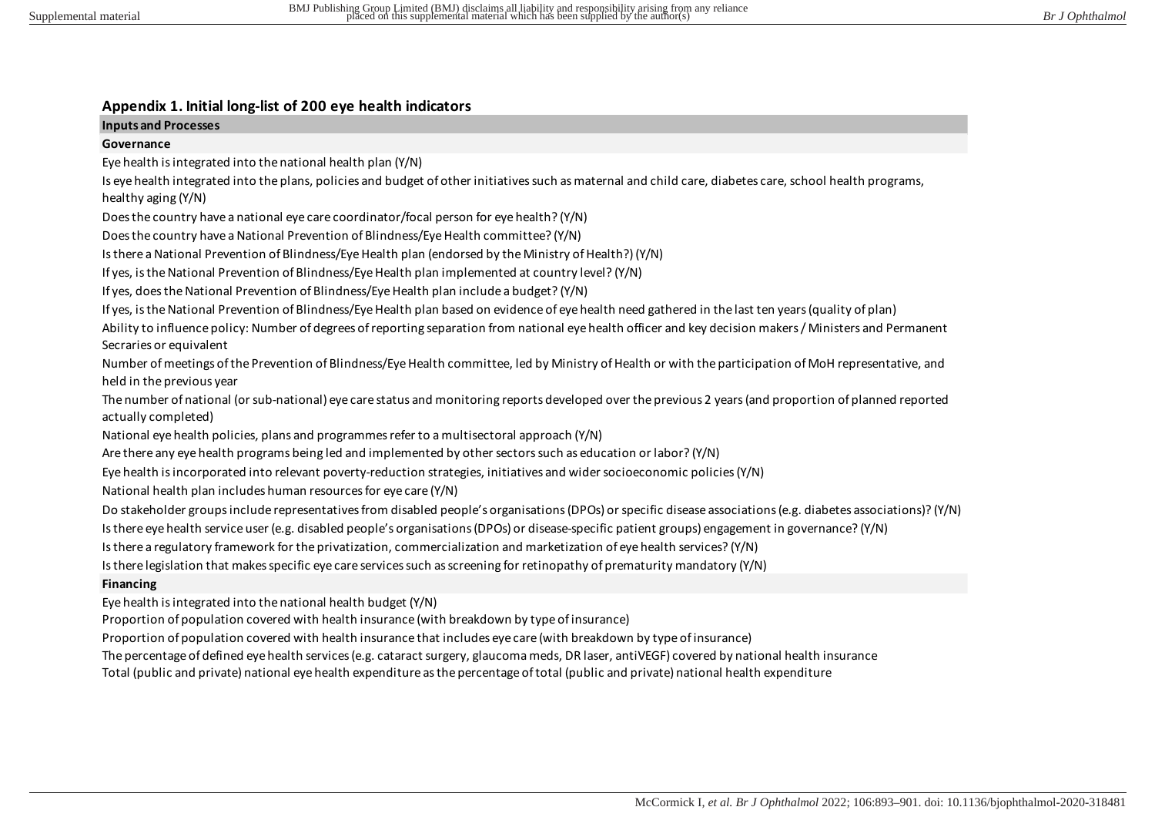# **Appendix 1. Initial long-list of 200 eye health indicators**

# **Inputs and Processes**

# **Governance**

Eye health is integrated into the national health plan (Y/N)

Is eye health integrated into the plans, policies and budget of other initiatives such as maternal and child care, diabetes care, school health programs, healthy aging (Y/N)

Does the country have a national eye care coordinator/focal person for eye health? (Y/N)

Does the country have a National Prevention of Blindness/Eye Health committee? (Y/N)

Is there a National Prevention of Blindness/Eye Health plan (endorsed by the Ministry of Health?) (Y/N)

If yes, is the National Prevention of Blindness/Eye Health plan implemented at country level? (Y/N)

If yes, does the National Prevention of Blindness/Eye Health plan include a budget? (Y/N)

If yes, is the National Prevention of Blindness/Eye Health plan based on evidence of eye health need gathered in the last ten years (quality of plan)

Ability to influence policy: Number of degrees of reporting separation from national eye health officer and key decision makers / Ministers and Permanent Secraries or equivalent

Number of meetings of the Prevention of Blindness/Eye Health committee, led by Ministry of Health or with the participation of MoH representative, and held in the previous year

The number of national (or sub-national) eye care status and monitoring reports developed over the previous 2 years (and proportion of planned reported actually completed)

National eye health policies, plans and programmes refer to a multisectoral approach (Y/N)

Are there any eye health programs being led and implemented by other sectors such as education or labor? (Y/N)

Eye health is incorporated into relevant poverty-reduction strategies, initiatives and wider socioeconomic policies (Y/N)

National health plan includes human resources for eye care (Y/N)

Do stakeholder groups include representatives from disabled people's organisations (DPOs) or specific disease associations (e.g. diabetes associations)? (Y/N)

Is there eye health service user (e.g. disabled people's organisations (DPOs) or disease-specific patient groups) engagement in governance? (Y/N)

Is there a regulatory framework for the privatization, commercialization and marketization of eye health services? (Y/N)

Is there legislation that makes specific eye care services such as screening for retinopathy of prematurity mandatory (Y/N)

# **Financing**

Eye health is integrated into the national health budget (Y/N)

Proportion of population covered with health insurance (with breakdown by type of insurance)

Proportion of population covered with health insurance that includes eye care (with breakdown by type of insurance)

The percentage of defined eye health services (e.g. cataract surgery, glaucoma meds, DR laser, antiVEGF) covered by national health insurance

Total (public and private) national eye health expenditure as the percentage of total (public and private) national health expenditure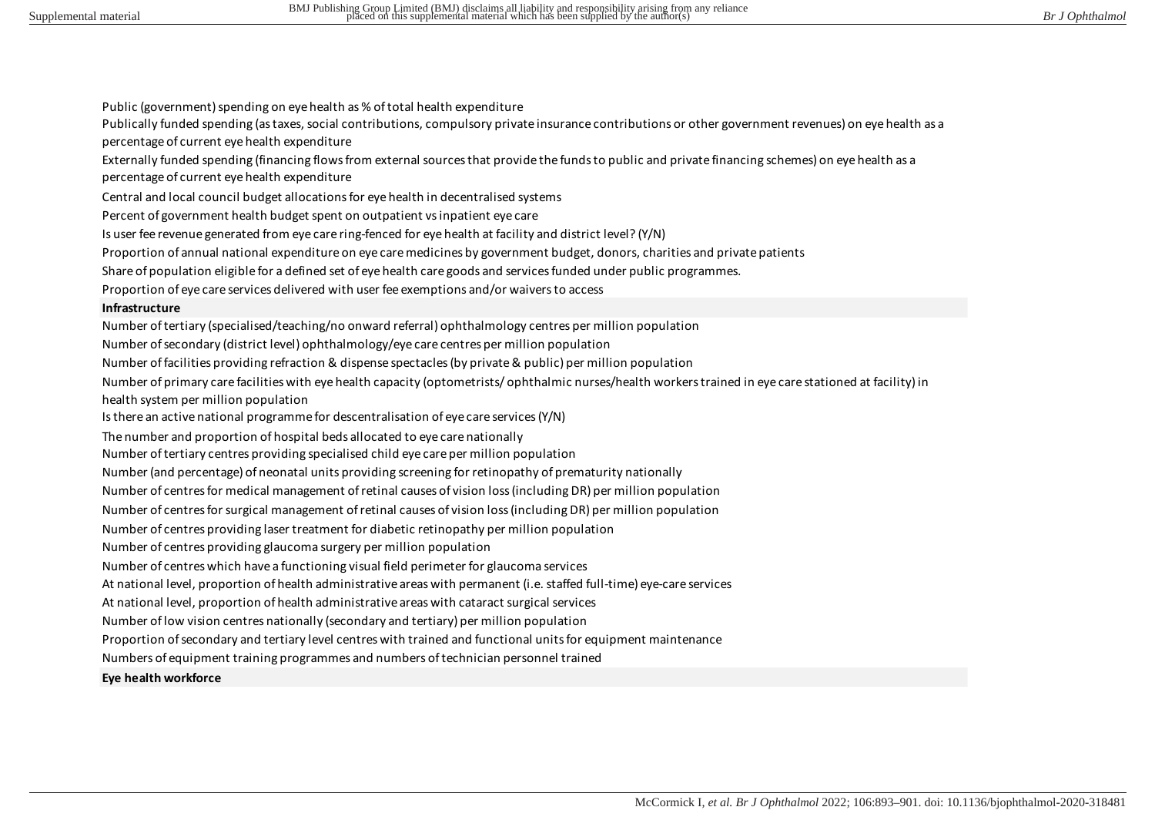Public (government) spending on eye health as % of total health expenditure

Publically funded spending (as taxes, social contributions, compulsory private insurance contributions or other government revenues) on eye health as a percentage of current eye health expenditure

Externally funded spending (financing flows from external sources that provide the funds to public and private financing schemes) on eye health as a percentage of current eye health expenditure

Central and local council budget allocations for eye health in decentralised systems

Percent of government health budget spent on outpatient vs inpatient eye care

Is user fee revenue generated from eye care ring-fenced for eye health at facility and district level? (Y/N)

Proportion of annual national expenditure on eye care medicines by government budget, donors, charities and private patients

Share of population eligible for a defined set of eye health care goods and services funded under public programmes.

Proportion of eye care services delivered with user fee exemptions and/or waivers to access

#### **Infrastructure**

Number of tertiary (specialised/teaching/no onward referral) ophthalmology centres per million population

Number of secondary (district level) ophthalmology/eye care centres per million population

Number of facilities providing refraction & dispense spectacles (by private & public) per million population

Number of primary care facilities with eye health capacity (optometrists/ ophthalmic nurses/health workers trained in eye care stationed at facility) in health system per million population

Is there an active national programme for descentralisation of eye care services (Y/N)

The number and proportion of hospital beds allocated to eye care nationally

Number of tertiary centres providing specialised child eye care per million population

Number (and percentage) of neonatal units providing screening for retinopathy of prematurity nationally

Number of centres for medical management of retinal causes of vision loss (including DR) per million population

Number of centres for surgical management of retinal causes of vision loss (including DR) per million population

Number of centres providing laser treatment for diabetic retinopathy per million population

Number of centres providing glaucoma surgery per million population

Number of centres which have a functioning visual field perimeter for glaucoma services

At national level, proportion of health administrative areas with permanent (i.e. staffed full-time) eye-care services

At national level, proportion of health administrative areas with cataract surgical services

Number of low vision centres nationally (secondary and tertiary) per million population

Proportion of secondary and tertiary level centres with trained and functional units for equipment maintenance

Numbers of equipment training programmes and numbers of technician personnel trained

#### **Eye health workforce**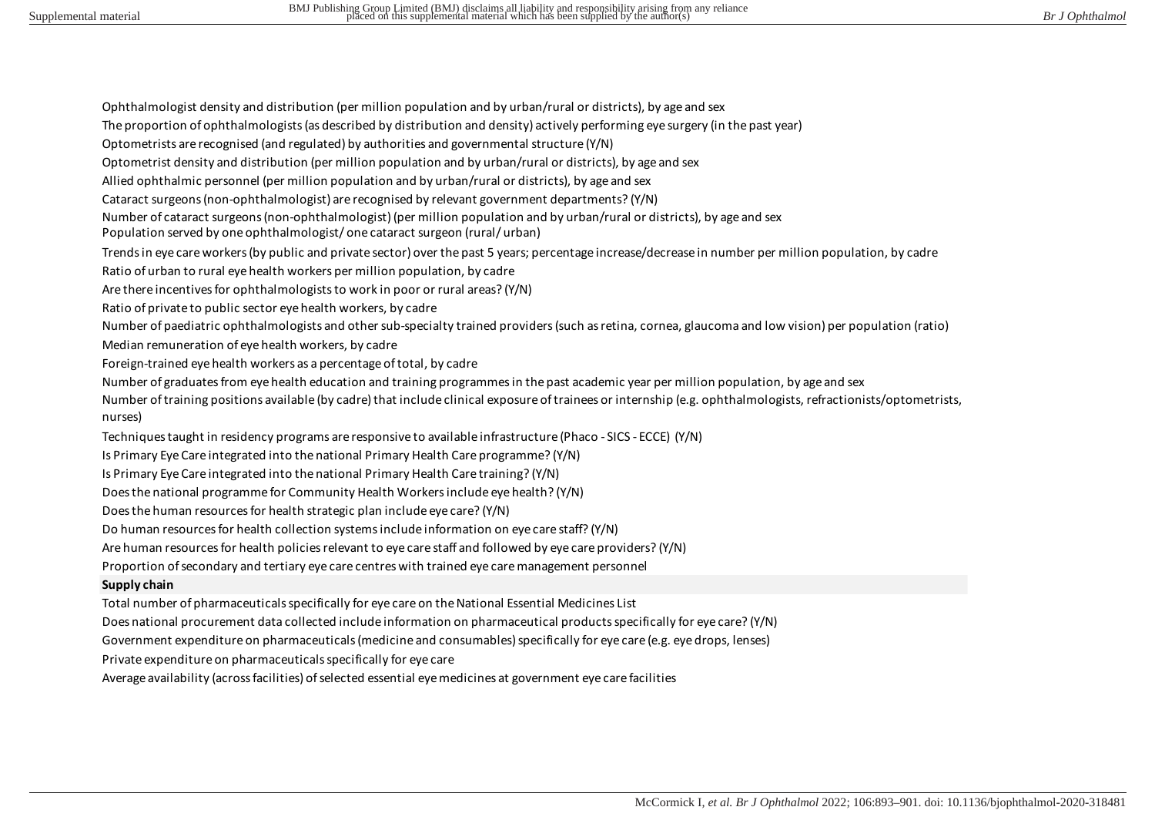Ophthalmologist density and distribution (per million population and by urban/rural or districts), by age and sex

The proportion of ophthalmologists (as described by distribution and density) actively performing eye surgery (in the past year)

Optometrists are recognised (and regulated) by authorities and governmental structure (Y/N)

Optometrist density and distribution (per million population and by urban/rural or districts), by age and sex

Allied ophthalmic personnel (per million population and by urban/rural or districts), by age and sex

Cataract surgeons (non-ophthalmologist) are recognised by relevant government departments? (Y/N)

Number of cataract surgeons (non-ophthalmologist) (per million population and by urban/rural or districts), by age and sex

Population served by one ophthalmologist/ one cataract surgeon (rural/ urban)

Trends in eye care workers (by public and private sector) over the past 5 years; percentage increase/decrease in number per million population, by cadre

Ratio of urban to rural eye health workers per million population, by cadre

Are there incentives for ophthalmologists to work in poor or rural areas? (Y/N)

Ratio of private to public sector eye health workers, by cadre

Number of paediatric ophthalmologists and other sub-specialty trained providers (such as retina, cornea, glaucoma and low vision) per population (ratio)

Median remuneration of eye health workers, by cadre

Foreign-trained eye health workers as a percentage of total, by cadre

Number of graduates from eye health education and training programmes in the past academic year per million population, by age and sex

Number of training positions available (by cadre) that include clinical exposure of trainees or internship (e.g. ophthalmologists, refractionists/optometrists, nurses)

Techniques taught in residency programs are responsive to available infrastructure (Phaco - SICS - ECCE) (Y/N)

Is Primary Eye Care integrated into the national Primary Health Care programme? (Y/N)

Is Primary Eye Care integrated into the national Primary Health Care training? (Y/N)

Does the national programme for Community Health Workers include eye health? (Y/N)

Does the human resources for health strategic plan include eye care? (Y/N)

Do human resources for health collection systems include information on eye care staff? (Y/N)

Are human resources for health policies relevant to eye care staff and followed by eye care providers? (Y/N)

Proportion of secondary and tertiary eye care centres with trained eye care management personnel

# **Supply chain**

Total number of pharmaceuticals specifically for eye care on the National Essential Medicines List

Does national procurement data collected include information on pharmaceutical products specifically for eye care? (Y/N)

Government expenditure on pharmaceuticals (medicine and consumables) specifically for eye care (e.g. eye drops, lenses)

Private expenditure on pharmaceuticals specifically for eye care

Average availability (across facilities) of selected essential eye medicines at government eye care facilities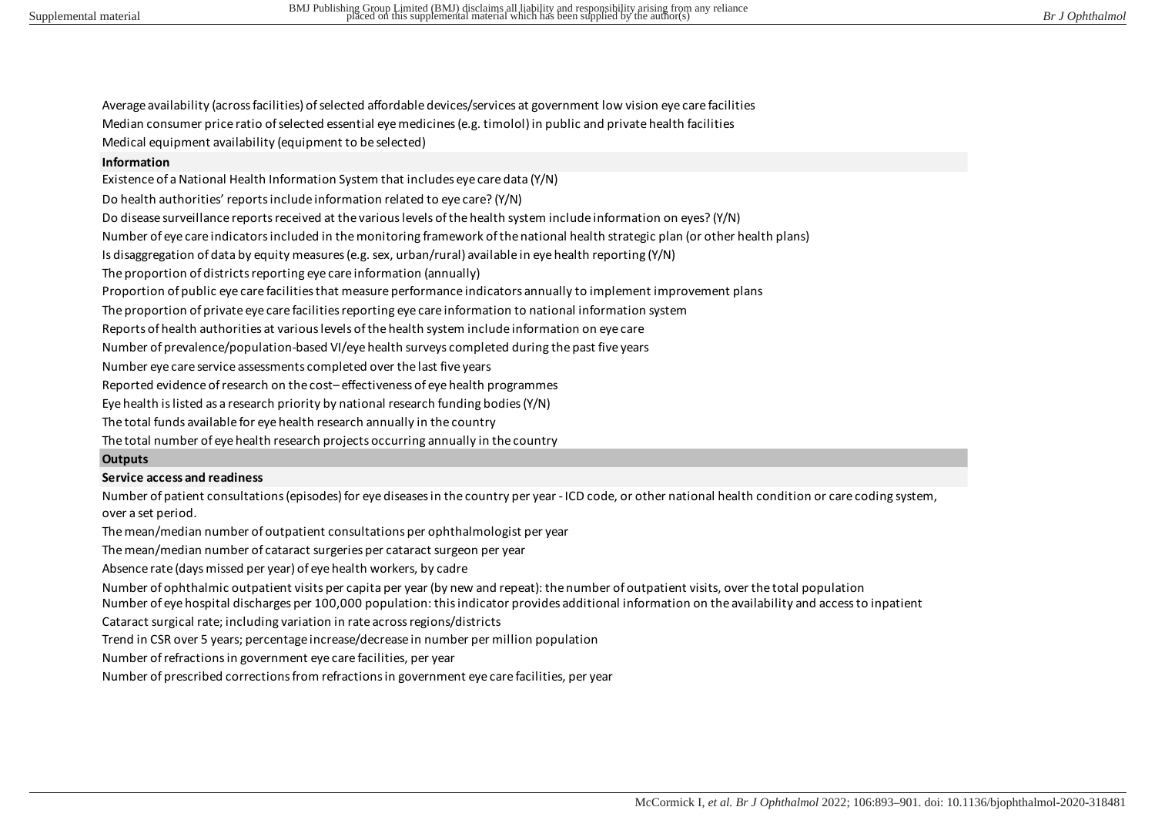Average availability (across facilities) of selected affordable devices/services at government low vision eye care facilities Median consumer price ratio of selected essential eye medicines (e.g. timolol) in public and private health facilities Medical equipment availability (equipment to be selected)

## **Information**

Existence of a National Health Information System that includes eye care data (Y/N)

Do health authorities' reports include information related to eye care? (Y/N)

Do disease surveillance reports received at the various levels of the health system include information on eyes? (Y/N)

Number of eye care indicators included in the monitoring framework of the national health strategic plan (or other health plans)

Is disaggregation of data by equity measures (e.g. sex, urban/rural) available in eye health reporting (Y/N)

The proportion of districts reporting eye care information (annually)

Proportion of public eye care facilities that measure performance indicators annually to implement improvement plans

The proportion of private eye care facilities reporting eye care information to national information system

Reports of health authorities at various levels of the health system include information on eye care

Number of prevalence/population-based VI/eye health surveys completed during the past five years

Number eye care service assessments completed over the last five years

Reported evidence of research on the cost– effectiveness of eye health programmes

Eye health is listed as a research priority by national research funding bodies (Y/N)

The total funds available for eye health research annually in the country

The total number of eye health research projects occurring annually in the country

#### **Outputs**

#### **Service access and readiness**

Number of patient consultations (episodes) for eye diseases in the country per year - ICD code, or other national health condition or care coding system, over a set period.

The mean/median number of outpatient consultations per ophthalmologist per year

The mean/median number of cataract surgeries per cataract surgeon per year

Absence rate (days missed per year) of eye health workers, by cadre

Number of ophthalmic outpatient visits per capita per year (by new and repeat): the number of outpatient visits, over the total population

Number of eye hospital discharges per 100,000 population: this indicator provides additional information on the availability and access to inpatient

Cataract surgical rate; including variation in rate across regions/districts

Trend in CSR over 5 years; percentage increase/decrease in number per million population

Number of refractions in government eye care facilities, per year

Number of prescribed corrections from refractions in government eye care facilities, per year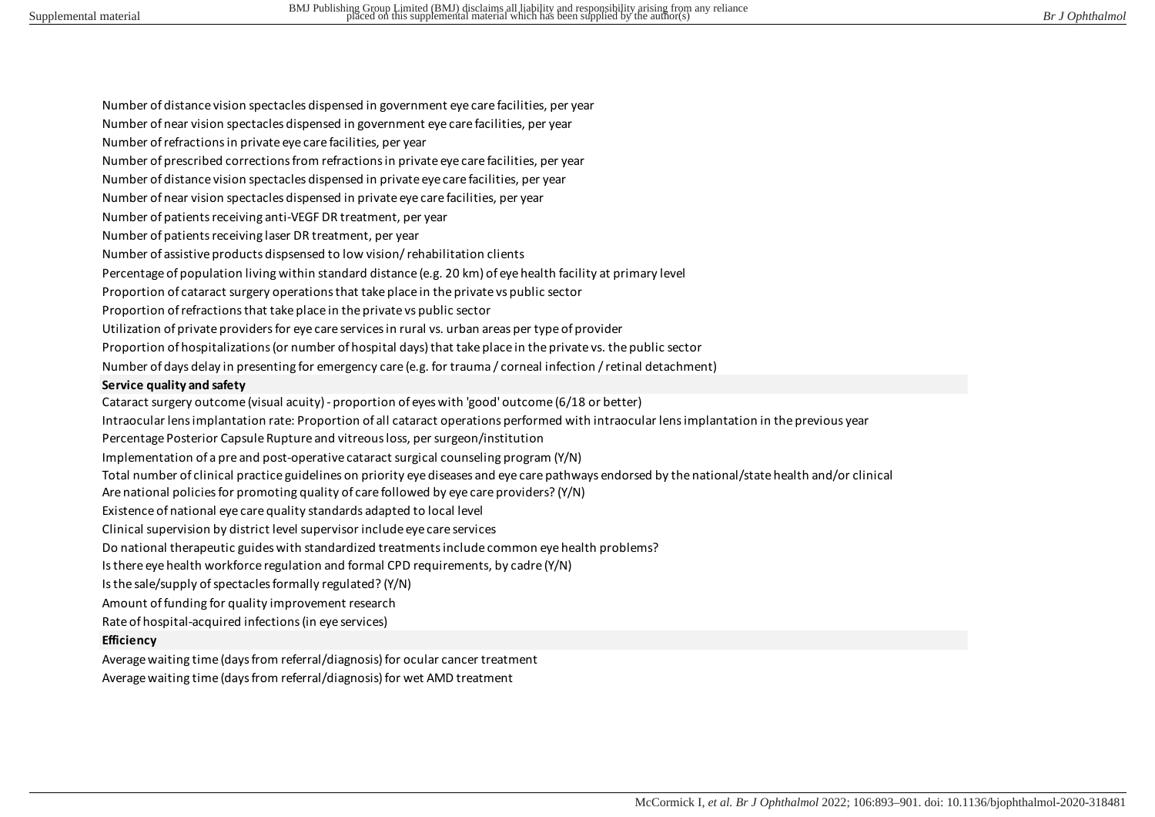Number of distance vision spectacles dispensed in government eye care facilities, per year Number of near vision spectacles dispensed in government eye care facilities, per year Number of refractions in private eye care facilities, per year Number of prescribed corrections from refractions in private eye care facilities, per year Number of distance vision spectacles dispensed in private eye care facilities, per year Number of near vision spectacles dispensed in private eye care facilities, per year Number of patients receiving anti-VEGF DR treatment, per year Number of patients receiving laser DR treatment, per year Number of assistive products dispsensed to low vision/ rehabilitation clients Percentage of population living within standard distance (e.g. 20 km) of eye health facility at primary level Proportion of cataract surgery operations that take place in the private vs public sector Proportion of refractions that take place in the private vs public sector Utilization of private providers for eye care services in rural vs. urban areas per type of provider Proportion of hospitalizations (or number of hospital days) that take place in the private vs. the public sector Number of days delay in presenting for emergency care (e.g. for trauma / corneal infection / retinal detachment) **Service quality and safety** Cataract surgery outcome (visual acuity) - proportion of eyes with 'good' outcome (6/18 or better) Intraocular lens implantation rate: Proportion of all cataract operations performed with intraocular lens implantation in the previous year Percentage Posterior Capsule Rupture and vitreous loss, per surgeon/institution Implementation of a pre and post-operative cataract surgical counseling program (Y/N) Total number of clinical practice guidelines on priority eye diseases and eye care pathways endorsed by the national/state health and/or clinical Are national policies for promoting quality of care followed by eye care providers? (Y/N) Existence of national eye care quality standards adapted to local level Clinical supervision by district level supervisor include eye care services Do national therapeutic guides with standardized treatments include common eye health problems? Is there eye health workforce regulation and formal CPD requirements, by cadre (Y/N) Is the sale/supply of spectacles formally regulated? (Y/N) Amount of funding for quality improvement research Rate of hospital-acquired infections (in eye services) **Efficiency** Average waiting time (days from referral/diagnosis) for ocular cancer treatment

Average waiting time (days from referral/diagnosis) for wet AMD treatment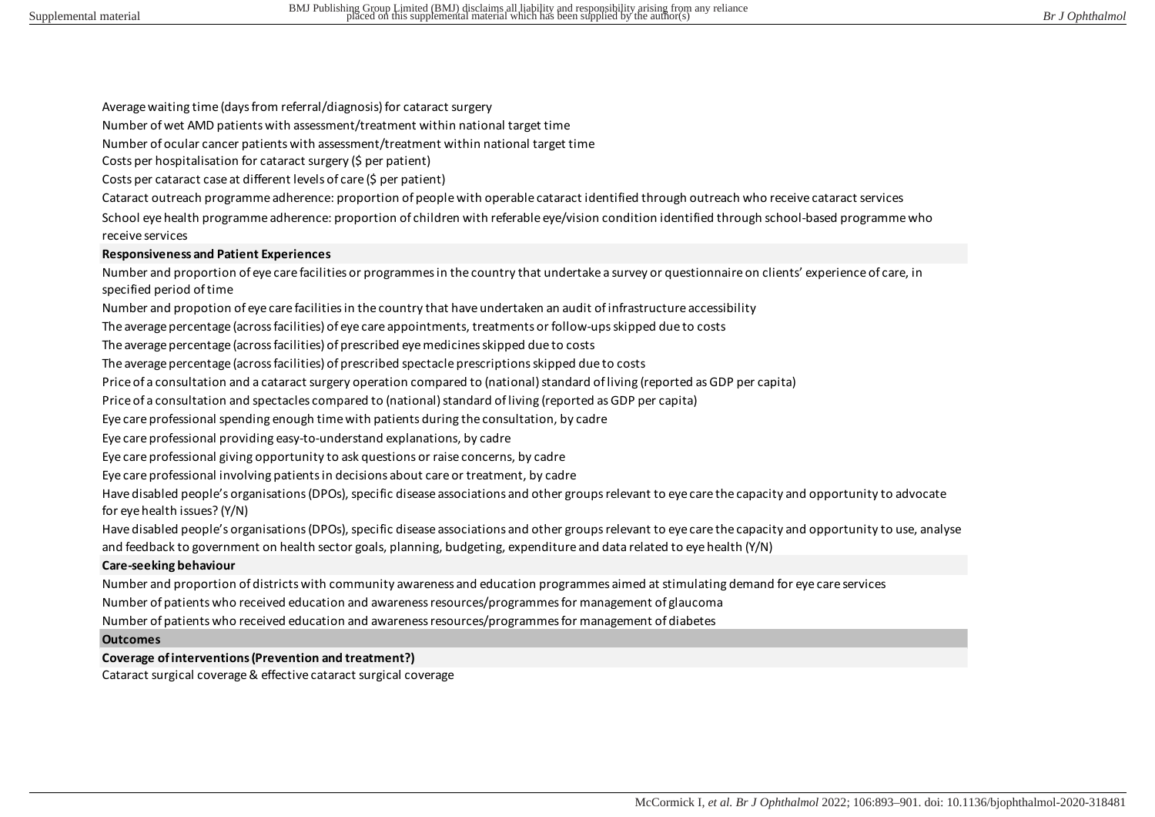Average waiting time (days from referral/diagnosis) for cataract surgery

Number of wet AMD patients with assessment/treatment within national target time

Number of ocular cancer patients with assessment/treatment within national target time

Costs per hospitalisation for cataract surgery (\$ per patient)

Costs per cataract case at different levels of care (\$ per patient)

Cataract outreach programme adherence: proportion of people with operable cataract identified through outreach who receive cataract services

School eye health programme adherence: proportion of children with referable eye/vision condition identified through school-based programme who receive services

#### **Responsiveness and Patient Experiences**

Number and proportion of eye care facilities or programmes in the country that undertake a survey or questionnaire on clients' experience of care, in specified period of time

Number and propotion of eye care facilities in the country that have undertaken an audit of infrastructure accessibility

The average percentage (across facilities) of eye care appointments, treatments or follow-ups skipped due to costs

The average percentage (across facilities) of prescribed eye medicines skipped due to costs

The average percentage (across facilities) of prescribed spectacle prescriptions skipped due to costs

Price of a consultation and a cataract surgery operation compared to (national) standard of living (reported as GDP per capita)

Price of a consultation and spectacles compared to (national) standard of living (reported as GDP per capita)

Eye care professional spending enough time with patients during the consultation, by cadre

Eye care professional providing easy-to-understand explanations, by cadre

Eye care professional giving opportunity to ask questions or raise concerns, by cadre

Eye care professional involving patients in decisions about care or treatment, by cadre

Have disabled people's organisations (DPOs), specific disease associations and other groups relevant to eye care the capacity and opportunity to advocate for eye health issues? (Y/N)

Have disabled people's organisations (DPOs), specific disease associations and other groups relevant to eye care the capacity and opportunity to use, analyse and feedback to government on health sector goals, planning, budgeting, expenditure and data related to eye health (Y/N)

#### **Care-seeking behaviour**

Number and proportion of districts with community awareness and education programmes aimed at stimulating demand for eye care services

Number of patients who received education and awareness resources/programmes for management of glaucoma

Number of patients who received education and awareness resources/programmes for management of diabetes

#### **Outcomes**

### **Coverage of interventions (Prevention and treatment?)**

Cataract surgical coverage & effective cataract surgical coverage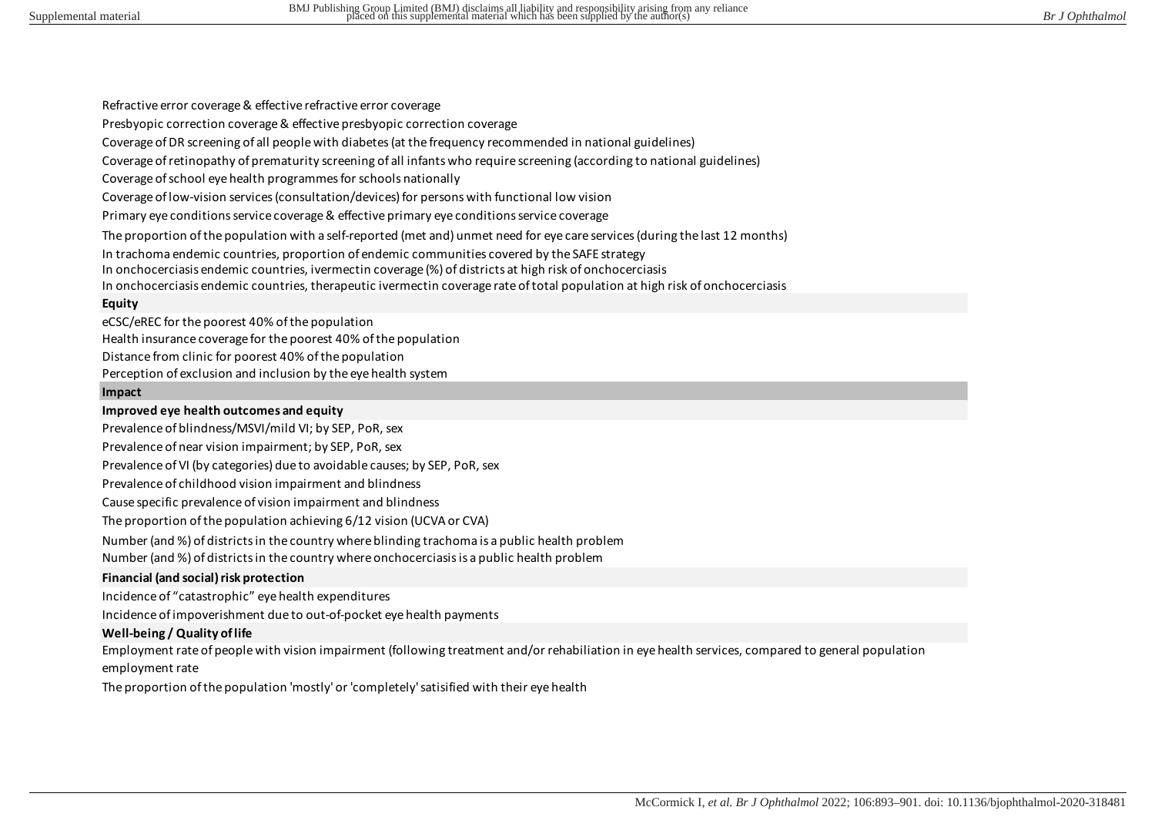Refractive error coverage & effective refractive error coverage

Presbyopic correction coverage & effective presbyopic correction coverage

Coverage of DR screening of all people with diabetes (at the frequency recommended in national guidelines)

Coverage of retinopathy of prematurity screening of all infants who require screening (according to national guidelines)

Coverage of school eye health programmes for schools nationally

Coverage of low-vision services (consultation/devices) for persons with functional low vision

Primary eye conditions service coverage & effective primary eye conditions service coverage

The proportion of the population with a self-reported (met and) unmet need for eye care services (during the last 12 months)

In trachoma endemic countries, proportion of endemic communities covered by the SAFE strategy

In onchocerciasis endemic countries, ivermectin coverage (%) of districts at high risk of onchocerciasis

In onchocerciasis endemic countries, therapeutic ivermectin coverage rate of total population at high risk of onchocerciasis

#### **Equity**

eCSC/eREC for the poorest 40% of the population

Health insurance coverage for the poorest 40% of the population

Distance from clinic for poorest 40% of the population

Perception of exclusion and inclusion by the eye health system

#### **Impact**

### **Improved eye health outcomes and equity**

Prevalence of blindness/MSVI/mild VI; by SEP, PoR, sex

Prevalence of near vision impairment; by SEP, PoR, sex

Prevalence of VI (by categories) due to avoidable causes; by SEP, PoR, sex

Prevalence of childhood vision impairment and blindness

Cause specific prevalence of vision impairment and blindness

The proportion of the population achieving 6/12 vision (UCVA or CVA)

Number (and %) of districts in the country where blinding trachoma is a public health problem Number (and %) of districts in the country where onchocerciasis is a public health problem

### **Financial (and social) risk protection**

Incidence of "catastrophic" eye health expenditures

Incidence of impoverishment due to out-of-pocket eye health payments

### **Well-being / Quality of life**

Employment rate of people with vision impairment (following treatment and/or rehabiliation in eye health services, compared to general population employment rate

The proportion of the population 'mostly' or 'completely' satisified with their eye health